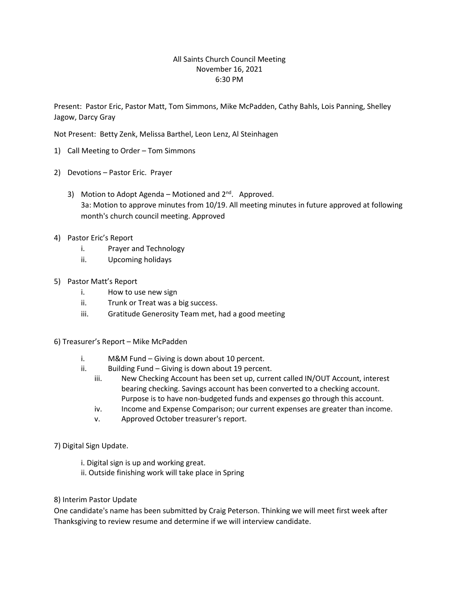## All Saints Church Council Meeting November 16, 2021 6:30 PM

Present: Pastor Eric, Pastor Matt, Tom Simmons, Mike McPadden, Cathy Bahls, Lois Panning, Shelley Jagow, Darcy Gray

Not Present: Betty Zenk, Melissa Barthel, Leon Lenz, Al Steinhagen

- 1) Call Meeting to Order Tom Simmons
- 2) Devotions Pastor Eric. Prayer
	- 3) Motion to Adopt Agenda Motioned and  $2^{nd}$ . Approved. 3a: Motion to approve minutes from 10/19. All meeting minutes in future approved at following month's church council meeting. Approved
- 4) Pastor Eric's Report
	- i. Prayer and Technology
	- ii. Upcoming holidays
- 5) Pastor Matt's Report
	- i. How to use new sign
	- ii. Trunk or Treat was a big success.
	- iii. Gratitude Generosity Team met, had a good meeting
- 6) Treasurer's Report Mike McPadden
	- i. M&M Fund Giving is down about 10 percent.
	- ii. Building Fund Giving is down about 19 percent.
		- iii. New Checking Account has been set up, current called IN/OUT Account, interest bearing checking. Savings account has been converted to a checking account. Purpose is to have non-budgeted funds and expenses go through this account.
		- iv. Income and Expense Comparison; our current expenses are greater than income.
		- v. Approved October treasurer's report.
- 7) Digital Sign Update.
	- i. Digital sign is up and working great.
	- ii. Outside finishing work will take place in Spring
- 8) Interim Pastor Update

One candidate's name has been submitted by Craig Peterson. Thinking we will meet first week after Thanksgiving to review resume and determine if we will interview candidate.